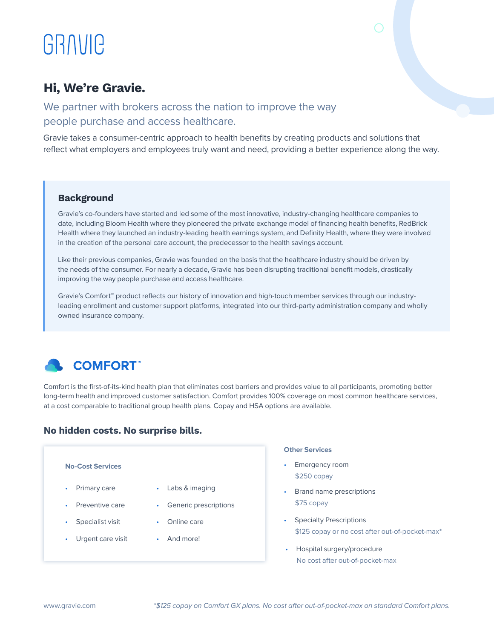# GRAVIC

# Hi, We're Gravie.

We partner with brokers across the nation to improve the way people purchase and access healthcare.

Gravie takes a consumer-centric approach to health benefits by creating products and solutions that reflect what employers and employees truly want and need, providing a better experience along the way.

# Background

Gravie's co-founders have started and led some of the most innovative, industry-changing healthcare companies to date, including Bloom Health where they pioneered the private exchange model of financing health benefits, RedBrick Health where they launched an industry-leading health earnings system, and Definity Health, where they were involved in the creation of the personal care account, the predecessor to the health savings account.

Like their previous companies, Gravie was founded on the basis that the healthcare industry should be driven by the needs of the consumer. For nearly a decade, Gravie has been disrupting traditional benefit models, drastically improving the way people purchase and access healthcare.

Gravie's Comfort™ product reflects our history of innovation and high-touch member services through our industryleading enrollment and customer support platforms, integrated into our third-party administration company and wholly owned insurance company.



Comfort is the first-of-its-kind health plan that eliminates cost barriers and provides value to all participants, promoting better long-term health and improved customer satisfaction. Comfort provides 100% coverage on most common healthcare services, at a cost comparable to traditional group health plans. Copay and HSA options are available.

# No hidden costs. No surprise bills.

- Primary care
- Preventive care
- Specialist visit
- Urgent care visit
- Labs & imaging
- Generic prescriptions
- Online care
- And more!

### **Other Services**

- **No-Cost Services** Emergency room \$250 copay
	- Brand name prescriptions \$75 copay
	- Specialty Prescriptions \$125 copay or no cost after out-of-pocket-max\*
	- Hospital surgery/procedure No cost after out-of-pocket-max